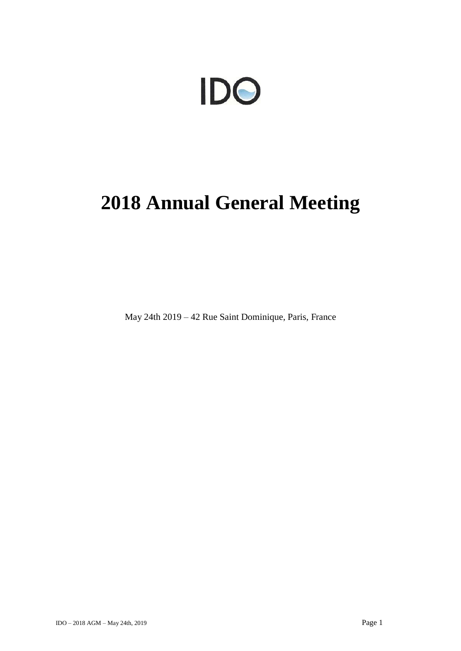# IDO

## **2018 Annual General Meeting**

May 24th 2019 – 42 Rue Saint Dominique, Paris, France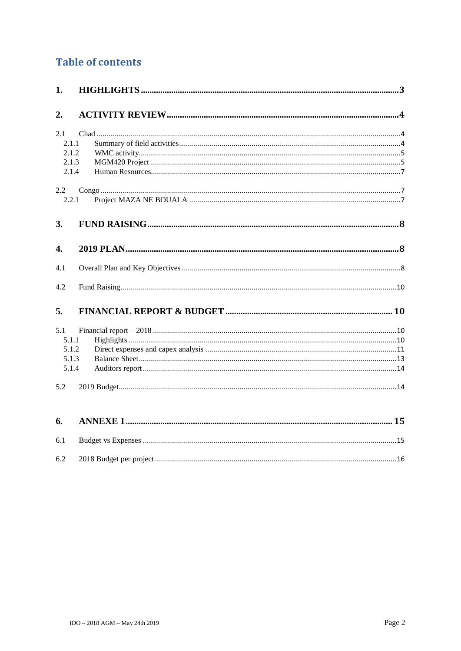## **Table of contents**

| 1.            |       |  |
|---------------|-------|--|
| 2.            |       |  |
| 2.1           |       |  |
|               | 2.1.1 |  |
|               | 2.1.2 |  |
|               | 2.1.3 |  |
|               | 2.1.4 |  |
| $2.2^{\circ}$ |       |  |
| 2.2.1         |       |  |
| 3.            |       |  |
| 4.            |       |  |
| 4.1           |       |  |
| 4.2           |       |  |
|               |       |  |
| 5.            |       |  |
| 5.1           |       |  |
| 5.1.1         |       |  |
|               | 5.1.2 |  |
|               | 5.1.3 |  |
|               | 5.1.4 |  |
| 5.2           |       |  |
| 6.            |       |  |
| 6.1           |       |  |
| 6.2           |       |  |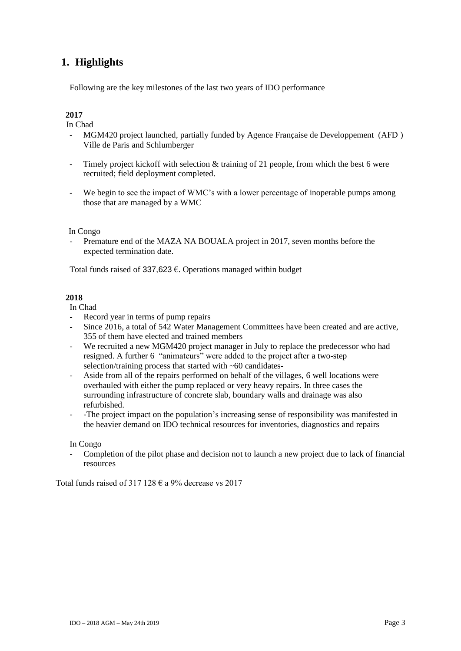## <span id="page-2-0"></span>**1. Highlights**

Following are the key milestones of the last two years of IDO performance

#### **2017**

In Chad

- MGM420 project launched, partially funded by Agence Française de Developpement (AFD ) Ville de Paris and Schlumberger
- Timely project kickoff with selection  $&$  training of 21 people, from which the best 6 were recruited; field deployment completed.
- We begin to see the impact of WMC's with a lower percentage of inoperable pumps among those that are managed by a WMC

#### In Congo

Premature end of the MAZA NA BOUALA project in 2017, seven months before the expected termination date.

Total funds raised of 337,623  $\epsilon$ . Operations managed within budget

#### **2018**

In Chad

- Record year in terms of pump repairs
- Since 2016, a total of 542 Water Management Committees have been created and are active, 355 of them have elected and trained members
- We recruited a new MGM420 project manager in July to replace the predecessor who had resigned. A further 6 "animateurs" were added to the project after a two-step selection/training process that started with ~60 candidates-
- Aside from all of the repairs performed on behalf of the villages, 6 well locations were overhauled with either the pump replaced or very heavy repairs. In three cases the surrounding infrastructure of concrete slab, boundary walls and drainage was also refurbished.
- -The project impact on the population's increasing sense of responsibility was manifested in the heavier demand on IDO technical resources for inventories, diagnostics and repairs

#### In Congo

- Completion of the pilot phase and decision not to launch a new project due to lack of financial resources

Total funds raised of 317 128  $\epsilon$  a 9% decrease vs 2017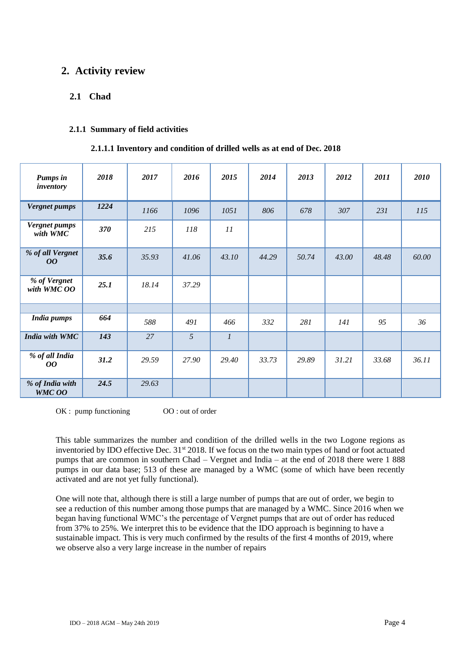## <span id="page-3-1"></span><span id="page-3-0"></span>**2. Activity review**

#### **2.1 Chad**

#### <span id="page-3-2"></span>**2.1.1 Summary of field activities**

#### **2.1.1.1 Inventory and condition of drilled wells as at end of Dec. 2018**

| <b>Pumps in</b><br>inventory         | 2018 | 2017  | 2016  | 2015           | 2014  | 2013  | 2012  | 2011  | 2010  |
|--------------------------------------|------|-------|-------|----------------|-------|-------|-------|-------|-------|
| <b>Vergnet pumps</b>                 | 1224 | 1166  | 1096  | 1051           | 806   | 678   | 307   | 231   | 115   |
| <b>Vergnet pumps</b><br>with WMC     | 370  | 215   | 118   | 11             |       |       |       |       |       |
| % of all Vergnet<br>00               | 35.6 | 35.93 | 41.06 | 43.10          | 44.29 | 50.74 | 43.00 | 48.48 | 60.00 |
| % of Vergnet<br>with WMC OO          | 25.1 | 18.14 | 37.29 |                |       |       |       |       |       |
|                                      |      |       |       |                |       |       |       |       |       |
| <b>India pumps</b>                   | 664  | 588   | 491   | 466            | 332   | 281   | 141   | 95    | 36    |
| India with WMC                       | 143  | 27    | 5     | $\mathfrak{1}$ |       |       |       |       |       |
| % of all India<br>00                 | 31.2 | 29.59 | 27.90 | 29.40          | 33.73 | 29.89 | 31.21 | 33.68 | 36.11 |
| % of India with<br>WMC <sub>00</sub> | 24.5 | 29.63 |       |                |       |       |       |       |       |

OK : pump functioning 00 : out of order

This table summarizes the number and condition of the drilled wells in the two Logone regions as inventoried by IDO effective Dec. 31<sup>st</sup> 2018. If we focus on the two main types of hand or foot actuated pumps that are common in southern Chad – Vergnet and India – at the end of 2018 there were 1 888 pumps in our data base; 513 of these are managed by a WMC (some of which have been recently activated and are not yet fully functional).

One will note that, although there is still a large number of pumps that are out of order, we begin to see a reduction of this number among those pumps that are managed by a WMC. Since 2016 when we began having functional WMC's the percentage of Vergnet pumps that are out of order has reduced from 37% to 25%. We interpret this to be evidence that the IDO approach is beginning to have a sustainable impact. This is very much confirmed by the results of the first 4 months of 2019, where we observe also a very large increase in the number of repairs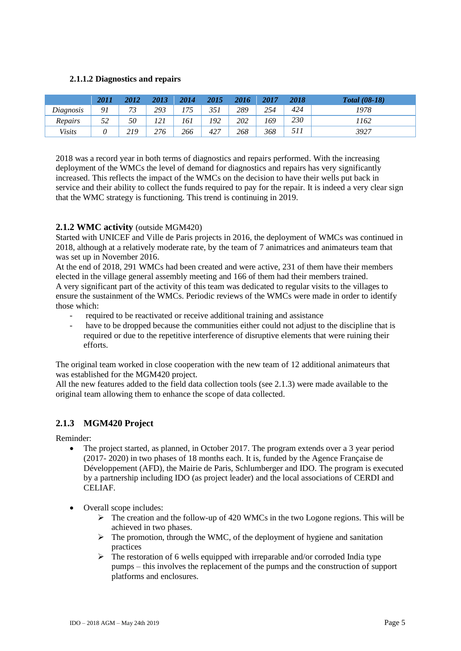#### **2.1.1.2 Diagnostics and repairs**

|                | 2011 | 2012 | 2013 | 2014 | 2015 | 2016 | 2017 | 2018 | <b>Total</b> (08-18) |
|----------------|------|------|------|------|------|------|------|------|----------------------|
| Diagnosis      | 91   | 73   | 293  | 175  | 351  | 289  | 254  | 424  | 1978                 |
| <b>Repairs</b> | 52   | 50   | 121  | 161  | 192  | 202  | 169  | 230  | 1162                 |
| <i>Visits</i>  |      | 219  | 276  | 266  | 427  | 268  | 368  | 511  | 3927                 |

2018 was a record year in both terms of diagnostics and repairs performed. With the increasing deployment of the WMCs the level of demand for diagnostics and repairs has very significantly increased. This reflects the impact of the WMCs on the decision to have their wells put back in service and their ability to collect the funds required to pay for the repair. It is indeed a very clear sign that the WMC strategy is functioning. This trend is continuing in 2019.

#### <span id="page-4-0"></span>**2.1.2 WMC activity** (outside MGM420)

Started with UNICEF and Ville de Paris projects in 2016, the deployment of WMCs was continued in 2018, although at a relatively moderate rate, by the team of 7 animatrices and animateurs team that was set up in November 2016.

At the end of 2018, 291 WMCs had been created and were active, 231 of them have their members elected in the village general assembly meeting and 166 of them had their members trained. A very significant part of the activity of this team was dedicated to regular visits to the villages to ensure the sustainment of the WMCs. Periodic reviews of the WMCs were made in order to identify those which:

- required to be reactivated or receive additional training and assistance
- have to be dropped because the communities either could not adjust to the discipline that is required or due to the repetitive interference of disruptive elements that were ruining their efforts.

The original team worked in close cooperation with the new team of 12 additional animateurs that was established for the MGM420 project.

All the new features added to the field data collection tools (see 2.1.3) were made available to the original team allowing them to enhance the scope of data collected.

#### <span id="page-4-1"></span>**2.1.3 MGM420 Project**

Reminder:

- The project started, as planned, in October 2017. The program extends over a 3 year period (2017- 2020) in two phases of 18 months each. It is, funded by the Agence Française de Développement (AFD), the Mairie de Paris, Schlumberger and IDO. The program is executed by a partnership including IDO (as project leader) and the local associations of CERDI and CELIAF.
- Overall scope includes:
	- $\triangleright$  The creation and the follow-up of 420 WMCs in the two Logone regions. This will be achieved in two phases.
	- $\triangleright$  The promotion, through the WMC, of the deployment of hygiene and sanitation practices
	- $\triangleright$  The restoration of 6 wells equipped with irreparable and/or corroded India type pumps – this involves the replacement of the pumps and the construction of support platforms and enclosures.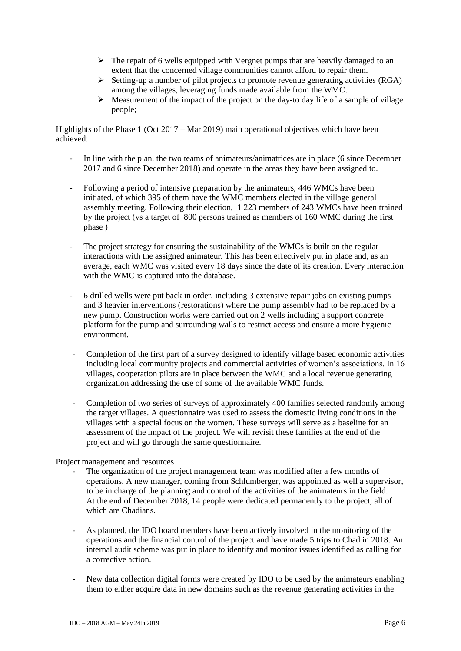- $\triangleright$  The repair of 6 wells equipped with Vergnet pumps that are heavily damaged to an extent that the concerned village communities cannot afford to repair them.
- $\triangleright$  Setting-up a number of pilot projects to promote revenue generating activities (RGA) among the villages, leveraging funds made available from the WMC.
- $\triangleright$  Measurement of the impact of the project on the day-to day life of a sample of village people;

Highlights of the Phase 1 (Oct 2017 – Mar 2019) main operational objectives which have been achieved:

- In line with the plan, the two teams of animateurs/animatrices are in place (6 since December 2017 and 6 since December 2018) and operate in the areas they have been assigned to.
- Following a period of intensive preparation by the animateurs, 446 WMCs have been initiated, of which 395 of them have the WMC members elected in the village general assembly meeting. Following their election, 1 223 members of 243 WMCs have been trained by the project (vs a target of 800 persons trained as members of 160 WMC during the first phase )
- The project strategy for ensuring the sustainability of the WMCs is built on the regular interactions with the assigned animateur. This has been effectively put in place and, as an average, each WMC was visited every 18 days since the date of its creation. Every interaction with the WMC is captured into the database.
- 6 drilled wells were put back in order, including 3 extensive repair jobs on existing pumps and 3 heavier interventions (restorations) where the pump assembly had to be replaced by a new pump. Construction works were carried out on 2 wells including a support concrete platform for the pump and surrounding walls to restrict access and ensure a more hygienic environment.
- Completion of the first part of a survey designed to identify village based economic activities including local community projects and commercial activities of women's associations. In 16 villages, cooperation pilots are in place between the WMC and a local revenue generating organization addressing the use of some of the available WMC funds.
- Completion of two series of surveys of approximately 400 families selected randomly among the target villages. A questionnaire was used to assess the domestic living conditions in the villages with a special focus on the women. These surveys will serve as a baseline for an assessment of the impact of the project. We will revisit these families at the end of the project and will go through the same questionnaire.

Project management and resources

- The organization of the project management team was modified after a few months of operations. A new manager, coming from Schlumberger, was appointed as well a supervisor, to be in charge of the planning and control of the activities of the animateurs in the field. At the end of December 2018, 14 people were dedicated permanently to the project, all of which are Chadians.
- As planned, the IDO board members have been actively involved in the monitoring of the operations and the financial control of the project and have made 5 trips to Chad in 2018. An internal audit scheme was put in place to identify and monitor issues identified as calling for a corrective action.
- New data collection digital forms were created by IDO to be used by the animateurs enabling them to either acquire data in new domains such as the revenue generating activities in the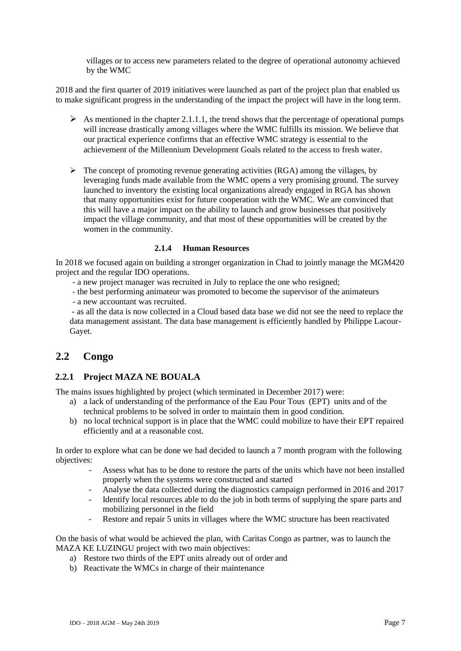villages or to access new parameters related to the degree of operational autonomy achieved by the WMC

2018 and the first quarter of 2019 initiatives were launched as part of the project plan that enabled us to make significant progress in the understanding of the impact the project will have in the long term.

- As mentioned in the chapter 2.1.1.1, the trend shows that the percentage of operational pumps will increase drastically among villages where the WMC fulfills its mission. We believe that our practical experience confirms that an effective WMC strategy is essential to the achievement of the Millennium Development Goals related to the access to fresh water.
- $\triangleright$  The concept of promoting revenue generating activities (RGA) among the villages, by leveraging funds made available from the WMC opens a very promising ground. The survey launched to inventory the existing local organizations already engaged in RGA has shown that many opportunities exist for future cooperation with the WMC. We are convinced that this will have a major impact on the ability to launch and grow businesses that positively impact the village community, and that most of these opportunities will be created by the women in the community.

#### **2.1.4 Human Resources**

<span id="page-6-0"></span>In 2018 we focused again on building a stronger organization in Chad to jointly manage the MGM420 project and the regular IDO operations.

- a new project manager was recruited in July to replace the one who resigned;

- the best performing animateur was promoted to become the supervisor of the animateurs

- a new accountant was recruited.

- as all the data is now collected in a Cloud based data base we did not see the need to replace the data management assistant. The data base management is efficiently handled by Philippe Lacour-Gayet.

#### <span id="page-6-1"></span>**2.2 Congo**

#### <span id="page-6-2"></span>**2.2.1 Project MAZA NE BOUALA**

The mains issues highlighted by project (which terminated in December 2017) were:

- a) a lack of understanding of the performance of the Eau Pour Tous (EPT) units and of the technical problems to be solved in order to maintain them in good condition.
- b) no local technical support is in place that the WMC could mobilize to have their EPT repaired efficiently and at a reasonable cost.

In order to explore what can be done we had decided to launch a 7 month program with the following objectives:

- Assess what has to be done to restore the parts of the units which have not been installed properly when the systems were constructed and started
- Analyse the data collected during the diagnostics campaign performed in 2016 and 2017
- Identify local resources able to do the job in both terms of supplying the spare parts and mobilizing personnel in the field
- Restore and repair 5 units in villages where the WMC structure has been reactivated

On the basis of what would be achieved the plan, with Caritas Congo as partner, was to launch the MAZA KE LUZINGU project with two main objectives:

- a) Restore two thirds of the EPT units already out of order and
- b) Reactivate the WMCs in charge of their maintenance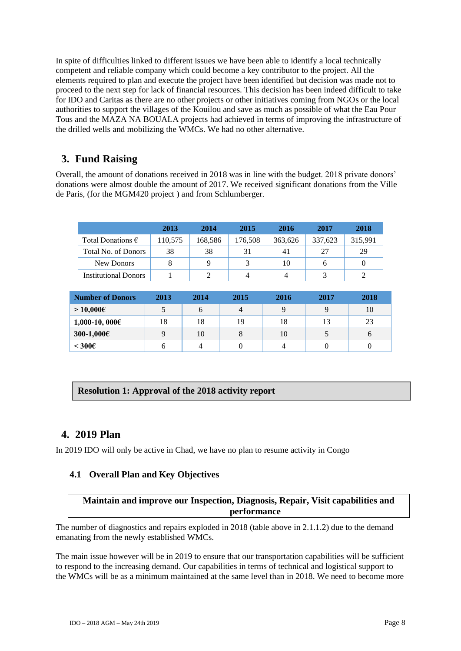In spite of difficulties linked to different issues we have been able to identify a local technically competent and reliable company which could become a key contributor to the project. All the elements required to plan and execute the project have been identified but decision was made not to proceed to the next step for lack of financial resources. This decision has been indeed difficult to take for IDO and Caritas as there are no other projects or other initiatives coming from NGOs or the local authorities to support the villages of the Kouilou and save as much as possible of what the Eau Pour Tous and the MAZA NA BOUALA projects had achieved in terms of improving the infrastructure of the drilled wells and mobilizing the WMCs. We had no other alternative.

## <span id="page-7-0"></span>**3. Fund Raising**

Overall, the amount of donations received in 2018 was in line with the budget. 2018 private donors' donations were almost double the amount of 2017. We received significant donations from the Ville de Paris, (for the MGM420 project ) and from Schlumberger.

|                             | 2013    | 2014    | 2015    | 2016    | 2017    | 2018    |
|-----------------------------|---------|---------|---------|---------|---------|---------|
| Total Donations $\epsilon$  | 110,575 | 168,586 | 176,508 | 363.626 | 337,623 | 315,991 |
| Total No. of Donors         | 38      | 38      | 31      | 41      | 27      | 29      |
| New Donors                  |         | q       |         | 10      | h       |         |
| <b>Institutional Donors</b> |         |         |         |         |         |         |

| <b>Number of Donors</b> | 2013 | 2014 | 2015 | 2016 | 2017 | 2018 |
|-------------------------|------|------|------|------|------|------|
| > 10,000€               |      | O    |      |      |      | 10   |
| $1,000-10,000 \in$      | 18   | 18   | 19   | 18   | 13   | 23   |
| $300-1,000 \in$         |      | 10   |      | 10   |      | O    |
| $< 300 \epsilon$        |      |      |      |      |      |      |

## **Resolution 1: Approval of the 2018 activity report**

## <span id="page-7-1"></span>**4. 2019 Plan**

<span id="page-7-2"></span>In 2019 IDO will only be active in Chad, we have no plan to resume activity in Congo

## **4.1 Overall Plan and Key Objectives**

#### **Maintain and improve our Inspection, Diagnosis, Repair, Visit capabilities and performance**

The number of diagnostics and repairs exploded in 2018 (table above in 2.1.1.2) due to the demand emanating from the newly established WMCs.

The main issue however will be in 2019 to ensure that our transportation capabilities will be sufficient to respond to the increasing demand. Our capabilities in terms of technical and logistical support to the WMCs will be as a minimum maintained at the same level than in 2018. We need to become more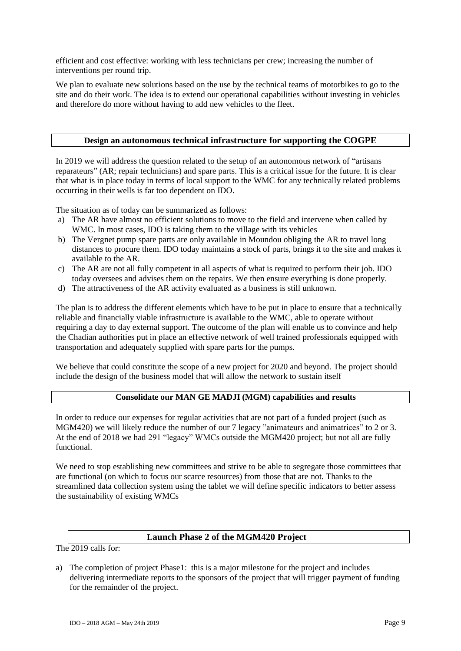efficient and cost effective: working with less technicians per crew; increasing the number of interventions per round trip.

We plan to evaluate new solutions based on the use by the technical teams of motorbikes to go to the site and do their work. The idea is to extend our operational capabilities without investing in vehicles and therefore do more without having to add new vehicles to the fleet.

#### **Design an autonomous technical infrastructure for supporting the COGPE**

In 2019 we will address the question related to the setup of an autonomous network of "artisans reparateurs" (AR; repair technicians) and spare parts. This is a critical issue for the future. It is clear that what is in place today in terms of local support to the WMC for any technically related problems occurring in their wells is far too dependent on IDO.

The situation as of today can be summarized as follows:

- a) The AR have almost no efficient solutions to move to the field and intervene when called by WMC. In most cases, IDO is taking them to the village with its vehicles
- b) The Vergnet pump spare parts are only available in Moundou obliging the AR to travel long distances to procure them. IDO today maintains a stock of parts, brings it to the site and makes it available to the AR.
- c) The AR are not all fully competent in all aspects of what is required to perform their job. IDO today oversees and advises them on the repairs. We then ensure everything is done properly.
- d) The attractiveness of the AR activity evaluated as a business is still unknown.

The plan is to address the different elements which have to be put in place to ensure that a technically reliable and financially viable infrastructure is available to the WMC, able to operate without requiring a day to day external support. The outcome of the plan will enable us to convince and help the Chadian authorities put in place an effective network of well trained professionals equipped with transportation and adequately supplied with spare parts for the pumps.

We believe that could constitute the scope of a new project for 2020 and beyond. The project should include the design of the business model that will allow the network to sustain itself

#### **Consolidate our MAN GE MADJI (MGM) capabilities and results**

In order to reduce our expenses for regular activities that are not part of a funded project (such as MGM420) we will likely reduce the number of our 7 legacy "animateurs and animatrices" to 2 or 3. At the end of 2018 we had 291 "legacy" WMCs outside the MGM420 project; but not all are fully functional.

We need to stop establishing new committees and strive to be able to segregate those committees that are functional (on which to focus our scarce resources) from those that are not. Thanks to the streamlined data collection system using the tablet we will define specific indicators to better assess the sustainability of existing WMCs

#### **Launch Phase 2 of the MGM420 Project**

The 2019 calls for:

a) The completion of project Phase1: this is a major milestone for the project and includes delivering intermediate reports to the sponsors of the project that will trigger payment of funding for the remainder of the project.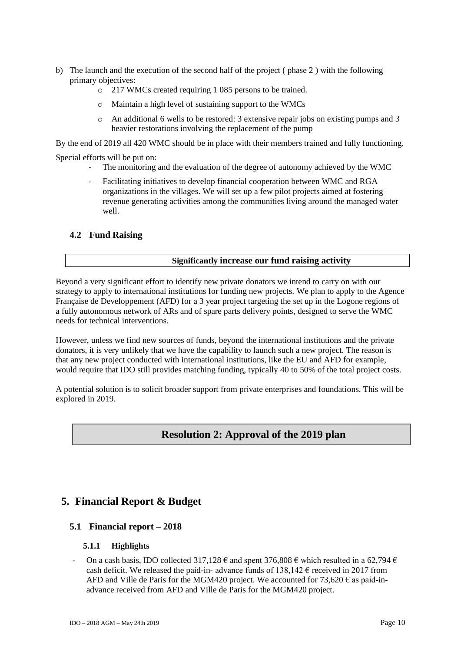- b) The launch and the execution of the second half of the project ( phase 2 ) with the following primary objectives:
	- o 217 WMCs created requiring 1 085 persons to be trained.
	- o Maintain a high level of sustaining support to the WMCs
	- o An additional 6 wells to be restored: 3 extensive repair jobs on existing pumps and 3 heavier restorations involving the replacement of the pump

By the end of 2019 all 420 WMC should be in place with their members trained and fully functioning.

Special efforts will be put on:

- The monitoring and the evaluation of the degree of autonomy achieved by the WMC
- Facilitating initiatives to develop financial cooperation between WMC and RGA organizations in the villages. We will set up a few pilot projects aimed at fostering revenue generating activities among the communities living around the managed water well.

#### <span id="page-9-0"></span>**4.2 Fund Raising**

#### **Significantly increase our fund raising activity**

Beyond a very significant effort to identify new private donators we intend to carry on with our strategy to apply to international institutions for funding new projects. We plan to apply to the Agence Française de Developpement (AFD) for a 3 year project targeting the set up in the Logone regions of a fully autonomous network of ARs and of spare parts delivery points, designed to serve the WMC needs for technical interventions.

However, unless we find new sources of funds, beyond the international institutions and the private donators, it is very unlikely that we have the capability to launch such a new project. The reason is that any new project conducted with international institutions, like the EU and AFD for example, would require that IDO still provides matching funding, typically 40 to 50% of the total project costs.

A potential solution is to solicit broader support from private enterprises and foundations. This will be explored in 2019.

## **Resolution 2: Approval of the 2019 plan**

## <span id="page-9-2"></span><span id="page-9-1"></span>**5. Financial Report & Budget**

#### <span id="page-9-3"></span>**5.1 Financial report – 2018**

#### **5.1.1 Highlights**

On a cash basis, IDO collected 317,128  $\epsilon$  and spent 376,808  $\epsilon$  which resulted in a 62,794  $\epsilon$ cash deficit. We released the paid-in- advance funds of  $138,142 \text{ }\epsilon$  received in 2017 from AFD and Ville de Paris for the MGM420 project. We accounted for 73,620  $\epsilon$  as paid-inadvance received from AFD and Ville de Paris for the MGM420 project.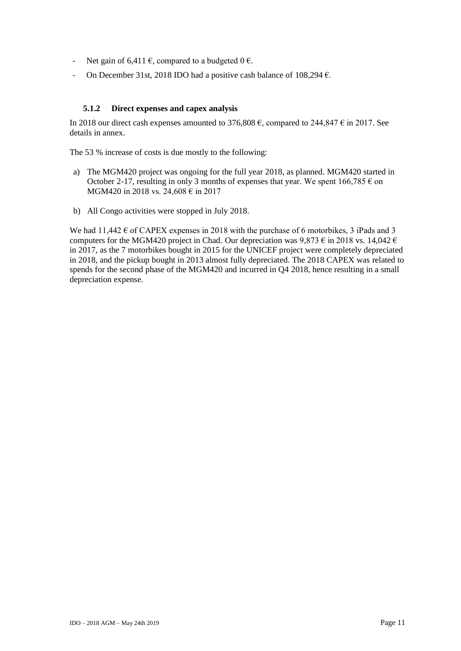- Net gain of 6,411  $\epsilon$ , compared to a budgeted  $0 \epsilon$ .
- On December 31st, 2018 IDO had a positive cash balance of 108,294  $\epsilon$ .

#### **5.1.2 Direct expenses and capex analysis**

<span id="page-10-0"></span>In 2018 our direct cash expenses amounted to 376,808  $\epsilon$ , compared to 244,847  $\epsilon$  in 2017. See details in annex.

The 53 % increase of costs is due mostly to the following:

- a) The MGM420 project was ongoing for the full year 2018, as planned. MGM420 started in October 2-17, resulting in only 3 months of expenses that year. We spent  $166,785 \in \text{on}$ MGM420 in 2018 vs. 24,608 € in 2017
- b) All Congo activities were stopped in July 2018.

We had  $11,442 \text{ } \in$  of CAPEX expenses in 2018 with the purchase of 6 motorbikes, 3 iPads and 3 computers for the MGM420 project in Chad. Our depreciation was  $9.873 \text{ } \in \text{ }$  in 2018 vs. 14,042  $\in$ in 2017, as the 7 motorbikes bought in 2015 for the UNICEF project were completely depreciated in 2018, and the pickup bought in 2013 almost fully depreciated. The 2018 CAPEX was related to spends for the second phase of the MGM420 and incurred in Q4 2018, hence resulting in a small depreciation expense.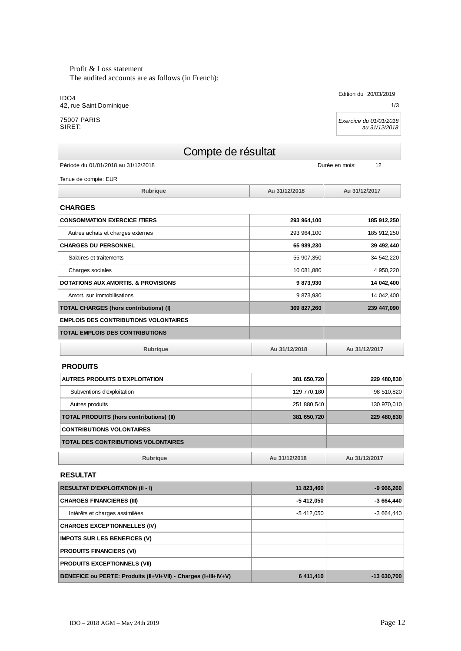Profit & Loss statement The audited accounts are as follows (in French):

IDO4 42, rue Saint Dominique

75007 PARIS SIRET:

## Compte de résultat

Période du 01/01/2018 au 31/12/2018

Tenue de compte: EUR

| .ubrique | Au 31/12/2018 | Au 31/12/2017 |
|----------|---------------|---------------|

| <b>CHARGES</b>                                 |               |               |
|------------------------------------------------|---------------|---------------|
| <b>CONSOMMATION EXERCICE /TIERS</b>            | 293 964,100   | 185 912,250   |
| Autres achats et charges externes              | 293 964,100   | 185 912,250   |
| <b>CHARGES DU PERSONNEL</b>                    | 65 989,230    | 39 492,440    |
| Salaires et traitements                        | 55 907,350    | 34 542,220    |
| Charges sociales                               | 10 081,880    | 4 950,220     |
| <b>DOTATIONS AUX AMORTIS, &amp; PROVISIONS</b> | 9873,930      | 14 042,400    |
| Amort, sur immobilisations                     | 9 873,930     | 14 042,400    |
| <b>TOTAL CHARGES (hors contributions) (I)</b>  | 369 827,260   | 239 447,090   |
| <b>EMPLOIS DES CONTRIBUTIONS VOLONTAIRES</b>   |               |               |
| <b>TOTAL EMPLOIS DES CONTRIBUTIONS</b>         |               |               |
| <b>Rubrique</b>                                | Au 31/12/2018 | Au 31/12/2017 |

#### **PRODUITS**

| AUTRES PRODUITS D'EXPLOITATION                  | 381 650,720   | 229 480,830   |
|-------------------------------------------------|---------------|---------------|
| Subventions d'exploitation                      | 129 770,180   | 98 510,820    |
| Autres produits                                 | 251 880,540   | 130 970,010   |
| <b>TOTAL PRODUITS (hors contributions) (II)</b> | 381 650,720   | 229 480,830   |
| <b>CONTRIBUTIONS VOLONTAIRES</b>                |               |               |
| <b>TOTAL DES CONTRIBUTIONS VOLONTAIRES</b>      |               |               |
| <b>Rubrique</b>                                 | Au 31/12/2018 | Au 31/12/2017 |

#### **RESULTAT**

| <b>RESULTAT D'EXPLOITATION (II - I)</b>                        | 11 823,460 | $-9966,260$  |
|----------------------------------------------------------------|------------|--------------|
| <b>CHARGES FINANCIERES (III)</b>                               | -5 412,050 | $-3664,440$  |
| Intérêts et charges assimilées                                 | -5 412.050 | $-3664,440$  |
| <b>CHARGES EXCEPTIONNELLES (IV)</b>                            |            |              |
| <b>IMPOTS SUR LES BENEFICES (V)</b>                            |            |              |
| <b>PRODUITS FINANCIERS (VI)</b>                                |            |              |
| <b>PRODUITS EXCEPTIONNELS (VII)</b>                            |            |              |
| BENEFICE ou PERTE: Produits (II+VI+VII) - Charges (I+III+IV+V) | 6 411,410  | $-13630,700$ |

IDO – 2018 AGM – May 24th 2019 Page 12

1/3

*Exercice du 01/01/2018 au 31/12/2018*

Durée en mois: 12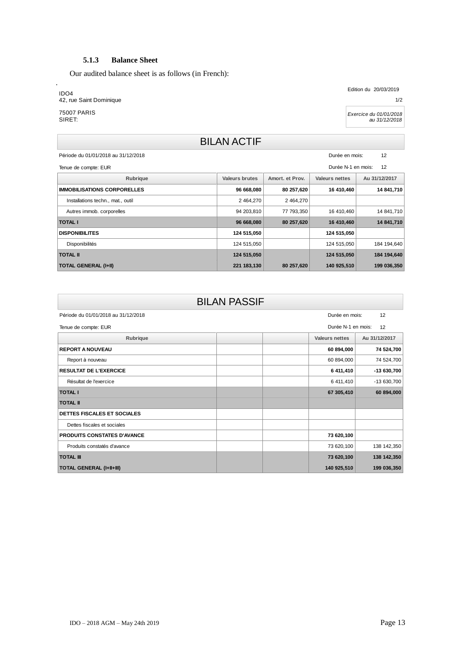#### **5.1.3 Balance Sheet**

<span id="page-12-0"></span>Our audited balance sheet is as follows (in French):

#### IDO4

.

42, rue Saint Dominique

75007 PARIS SIRET:

Edition du 20/03/2019

1/2

*Exercice du 01/01/2018 au 31/12/2018*

## BILAN ACTIF

Période du 01/01/2018 au 31/12/2018

Durée en mois: 12

| Durée N-1 en mois: 12<br>Tenue de compte: EUR |                |                 |                |               |  |
|-----------------------------------------------|----------------|-----------------|----------------|---------------|--|
| Rubrique                                      | Valeurs brutes | Amort, et Prov. | Valeurs nettes | Au 31/12/2017 |  |
| <b>IMMOBILISATIONS CORPORELLES</b>            | 96 668,080     | 80 257,620      | 16 410,460     | 14 841,710    |  |
| Installations techn., mat., outil             | 2 464.270      | 2 464,270       |                |               |  |
| Autres immob. corporelles                     | 94 203,810     | 77 793,350      | 16 410,460     | 14 841,710    |  |
| <b>TOTAL I</b>                                | 96 668,080     | 80 257,620      | 16 410,460     | 14 841,710    |  |
| <b>DISPONIBILITES</b>                         | 124 515,050    |                 | 124 515,050    |               |  |
| Disponibilités                                | 124 515,050    |                 | 124 515,050    | 184 194,640   |  |
| <b>TOTAL II</b>                               | 124 515,050    |                 | 124 515,050    | 184 194,640   |  |
| <b>TOTAL GENERAL (I+II)</b>                   | 221 183,130    | 80 257,620      | 140 925,510    | 199 036,350   |  |
|                                               |                |                 |                |               |  |

| <b>BILAN PASSIF</b>                 |                                        |
|-------------------------------------|----------------------------------------|
| Période du 01/01/2018 au 31/12/2018 | 12<br>Durée en mois:                   |
| Tenue de compte: EUR                | Durée N-1 en mois:<br>12               |
| Rubrique                            | <b>Valeurs nettes</b><br>Au 31/12/2017 |
| <b>REPORT A NOUVEAU</b>             | 74 524,700<br>60 894,000               |
| Report à nouveau                    | 60 894,000<br>74 524,700               |
| <b>RESULTAT DE L'EXERCICE</b>       | 6 411,410<br>$-13630,700$              |
| Résultat de l'exercice              | 6 411,410<br>-13 630,700               |
| <b>TOTAL I</b>                      | 67 305,410<br>60 894,000               |
| <b>TOTAL II</b>                     |                                        |
| DETTES FISCALES ET SOCIALES         |                                        |
| Dettes fiscales et sociales         |                                        |
| PRODUITS CONSTATES D'AVANCE         | 73 620,100                             |
| Produits constatés d'avance         | 73 620,100<br>138 142,350              |
| <b>TOTAL III</b>                    | 73 620,100<br>138 142,350              |
| <b>TOTAL GENERAL (I+II+III)</b>     | 140 925,510<br>199 036,350             |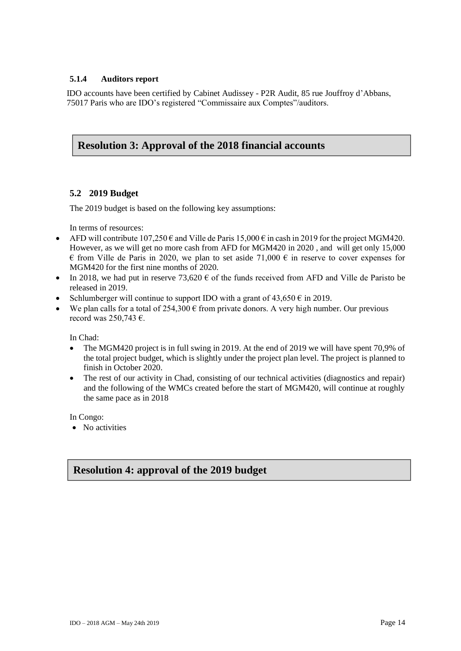#### <span id="page-13-0"></span>**5.1.4 Auditors report**

IDO accounts have been certified by Cabinet Audissey - P2R Audit, 85 rue Jouffroy d'Abbans, 75017 Paris who are IDO's registered "Commissaire aux Comptes"/auditors.

#### **Resolution 3: Approval of the 2018 financial accounts**

#### <span id="page-13-1"></span>**5.2 2019 Budget**

The 2019 budget is based on the following key assumptions:

In terms of resources:

- AFD will contribute  $107,250 \in \text{and}$  Ville de Paris  $15,000 \in \text{in}$  cash in 2019 for the project MGM420. However, as we will get no more cash from AFD for MGM420 in 2020 , and will get only 15,000  $\epsilon$  from Ville de Paris in 2020, we plan to set aside 71,000  $\epsilon$  in reserve to cover expenses for MGM420 for the first nine months of 2020.
- In 2018, we had put in reserve 73,620  $\epsilon$  of the funds received from AFD and Ville de Paristo be released in 2019.
- Schlumberger will continue to support IDO with a grant of  $43,650 \in \text{in } 2019$ .
- We plan calls for a total of  $254,300 \in$  from private donors. A very high number. Our previous record was 250,743 €.

In Chad:

- The MGM420 project is in full swing in 2019. At the end of 2019 we will have spent 70,9% of the total project budget, which is slightly under the project plan level. The project is planned to finish in October 2020.
- The rest of our activity in Chad, consisting of our technical activities (diagnostics and repair) and the following of the WMCs created before the start of MGM420, will continue at roughly the same pace as in 2018

In Congo:

• No activities

## **Resolution 4: approval of the 2019 budget**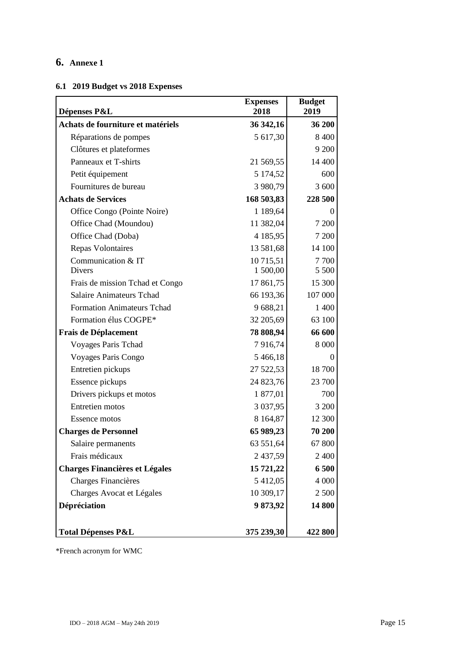## <span id="page-14-0"></span>**6. Annexe 1**

## <span id="page-14-1"></span>**6.1 2019 Budget vs 2018 Expenses**

| Dépenses P&L                          | <b>Expenses</b><br>2018 | <b>Budget</b><br>2019 |
|---------------------------------------|-------------------------|-----------------------|
| Achats de fourniture et matériels     | 36 342,16               | 36 200                |
| Réparations de pompes                 | 5 617,30                | 8 4 0 0               |
| Clôtures et plateformes               |                         | 9 200                 |
| Panneaux et T-shirts                  | 21 569,55               | 14 400                |
| Petit équipement                      | 5 174,52                | 600                   |
| Fournitures de bureau                 | 3 980,79                | 3 600                 |
| <b>Achats de Services</b>             | 168 503,83              | 228 500               |
| Office Congo (Pointe Noire)           | 1 189,64                | $\overline{0}$        |
| Office Chad (Moundou)                 | 11 382,04               | 7 200                 |
| Office Chad (Doba)                    | 4 185,95                | 7 200                 |
| <b>Repas Volontaires</b>              | 13 581,68               | 14 100                |
| Communication & IT                    | 10 715,51               | 7 700                 |
| <b>Divers</b>                         | 1500,00                 | 5 5 0 0               |
| Frais de mission Tchad et Congo       | 17 861,75               | 15 300                |
| <b>Salaire Animateurs Tchad</b>       | 66 193,36               | 107 000               |
| <b>Formation Animateurs Tchad</b>     | 9 688,21                | 1 400                 |
| Formation élus COGPE*                 | 32 205,69               | 63 100                |
| <b>Frais de Déplacement</b>           | 78 808,94               | 66 600                |
| Voyages Paris Tchad                   | 7916,74                 | 8 0 0 0               |
| Voyages Paris Congo                   | 5 466,18                | $\theta$              |
| Entretien pickups                     | 27 522,53               | 18700                 |
| Essence pickups                       | 24 823,76               | 23 700                |
| Drivers pickups et motos              | 1877,01                 | 700                   |
| <b>Entretien</b> motos                | 3 0 3 7 , 9 5           | 3 200                 |
| <b>Essence motos</b>                  | 8 1 6 4 , 8 7           | 12 300                |
| <b>Charges de Personnel</b>           | 65 989,23               | 70 200                |
| Salaire permanents                    | 63 551,64               | 67 800                |
| Frais médicaux                        | 2 437,59                | 2 4 0 0               |
| <b>Charges Financières et Légales</b> | 15 721,22               | 6 500                 |
| Charges Financières                   | 5 412,05                | 4 0 0 0               |
| Charges Avocat et Légales             | 10 309,17               | 2 500                 |
| Dépréciation                          | 9873,92                 | 14 800                |
| <b>Total Dépenses P&amp;L</b>         | 375 239,30              | 422 800               |

\*French acronym for WMC